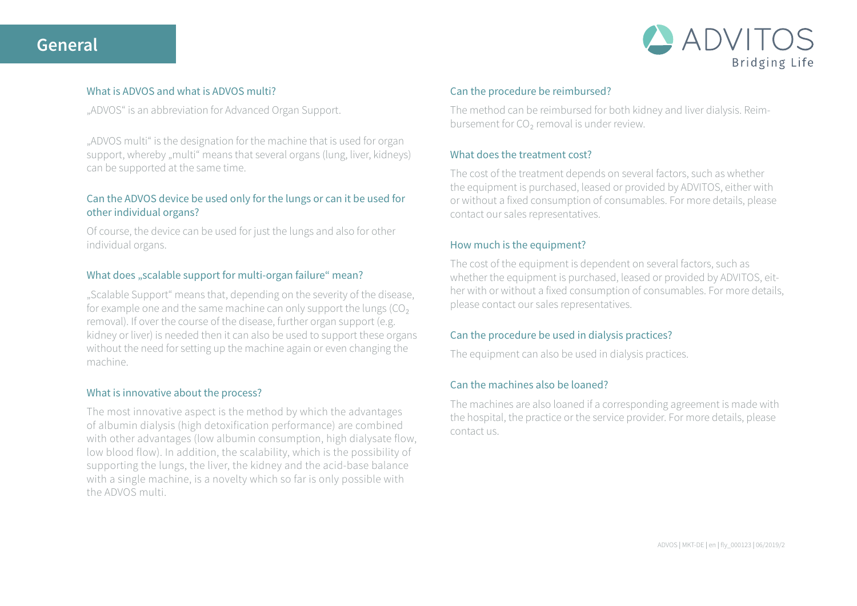# **General**



## What is ADVOS and what is ADVOS multi?

"ADVOS" is an abbreviation for Advanced Organ Support.

"ADVOS multi" is the designation for the machine that is used for organ support, whereby "multi" means that several organs (lung, liver, kidneys) can be supported at the same time.

# Can the ADVOS device be used only for the lungs or can it be used for other individual organs?

Of course, the device can be used for just the lungs and also for other individual organs.

## What does "scalable support for multi-organ failure" mean?

"Scalable Support" means that, depending on the severity of the disease, for example one and the same machine can only support the lungs  $(CO<sub>2</sub>)$ removal). If over the course of the disease, further organ support (e.g. kidney or liver) is needed then it can also be used to support these organs without the need for setting up the machine again or even changing the machine.

#### What is innovative about the process?

The most innovative aspect is the method by which the advantages of albumin dialysis (high detoxification performance) are combined with other advantages (low albumin consumption, high dialysate flow, low blood flow). In addition, the scalability, which is the possibility of supporting the lungs, the liver, the kidney and the acid-base balance with a single machine, is a novelty which so far is only possible with the ADVOS multi.

## Can the procedure be reimbursed?

The method can be reimbursed for both kidney and liver dialysis. Reimbursement for CO<sub>2</sub> removal is under review.

# What does the treatment cost?

The cost of the treatment depends on several factors, such as whether the equipment is purchased, leased or provided by ADVITOS, either with or without a fixed consumption of consumables. For more details, please contact our sales representatives.

# How much is the equipment?

The cost of the equipment is dependent on several factors, such as whether the equipment is purchased, leased or provided by ADVITOS, either with or without a fixed consumption of consumables. For more details, please contact our sales representatives.

# Can the procedure be used in dialysis practices?

The equipment can also be used in dialysis practices.

# Can the machines also be loaned?

The machines are also loaned if a corresponding agreement is made with the hospital, the practice or the service provider. For more details, please contact us.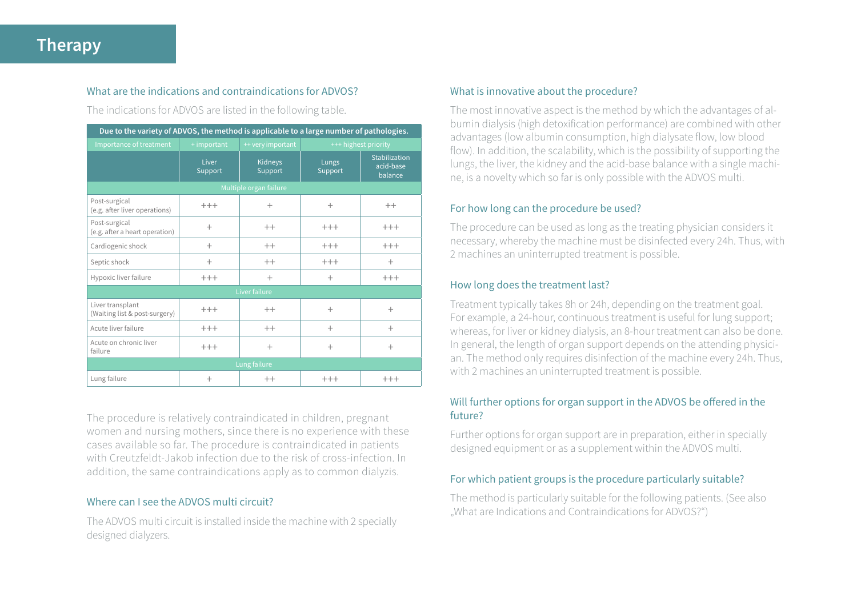# **Therapy**

## What are the indications and contraindications for ADVOS?

The indications for ADVOS are listed in the following table.

| Due to the variety of ADVOS, the method is applicable to a large number of pathologies. |                  |                    |                      |                                       |
|-----------------------------------------------------------------------------------------|------------------|--------------------|----------------------|---------------------------------------|
| Importance of treatment                                                                 | + important      | ++ very important  | +++ highest priority |                                       |
|                                                                                         | Liver<br>Support | Kidneys<br>Support | Lungs<br>Support     | Stabilization<br>acid-base<br>balance |
| Multiple organ failure                                                                  |                  |                    |                      |                                       |
| Post-surgical<br>(e.g. after liver operations)                                          | $^{+++}$         | $^{+}$             | $^{+}$               | $^{++}$                               |
| Post-surgical<br>(e.g. after a heart operation)                                         | $^{+}$           | $++$               | $+++$                | $+++$                                 |
| Cardiogenic shock                                                                       | $^{+}$           | $++$               | $+++$                | $+++$                                 |
| Septic shock                                                                            | $^{+}$           | $^{++}$            | $+++$                | $\pm$                                 |
| Hypoxic liver failure                                                                   | $^{+++}$         | $^{+}$             | $^{+}$               | $+++$                                 |
| Liver failure                                                                           |                  |                    |                      |                                       |
| Liver transplant<br>(Waiting list & post-surgery)                                       | $^{+++}$         | $^{++}$            | $^{+}$               | $^{+}$                                |
| Acute liver failure                                                                     | $^{+++}$         | $^{++}$            | $^{+}$               | $^{+}$                                |
| Acute on chronic liver<br>failure                                                       | $^{+++}$         | $^{+}$             | $^{+}$               | $^{+}$                                |
| Lung failure                                                                            |                  |                    |                      |                                       |
| Lung failure                                                                            | $^{+}$           | $^{++}$            | $^{+++}$             | $^{+++}$                              |

The procedure is relatively contraindicated in children, pregnant women and nursing mothers, since there is no experience with these cases available so far. The procedure is contraindicated in patients with Creutzfeldt-Jakob infection due to the risk of cross-infection. In addition, the same contraindications apply as to common dialyzis.

## Where can I see the ADVOS multi circuit?

The ADVOS multi circuit is installed inside the machine with 2 specially designed dialyzers.

## What is innovative about the procedure?

The most innovative aspect is the method by which the advantages of albumin dialysis (high detoxification performance) are combined with other advantages (low albumin consumption, high dialysate flow, low blood flow). In addition, the scalability, which is the possibility of supporting the lungs, the liver, the kidney and the acid-base balance with a single machine, is a novelty which so far is only possible with the ADVOS multi.

## For how long can the procedure be used?

The procedure can be used as long as the treating physician considers it necessary, whereby the machine must be disinfected every 24h. Thus, with 2 machines an uninterrupted treatment is possible.

#### How long does the treatment last?

Treatment typically takes 8h or 24h, depending on the treatment goal. For example, a 24-hour, continuous treatment is useful for lung support; whereas, for liver or kidney dialysis, an 8-hour treatment can also be done. In general, the length of organ support depends on the attending physician. The method only requires disinfection of the machine every 24h. Thus, with 2 machines an uninterrupted treatment is possible.

## Will further options for organ support in the ADVOS be offered in the future?

Further options for organ support are in preparation, either in specially designed equipment or as a supplement within the ADVOS multi.

# For which patient groups is the procedure particularly suitable?

The method is particularly suitable for the following patients. (See also "What are Indications and Contraindications for ADVOS?")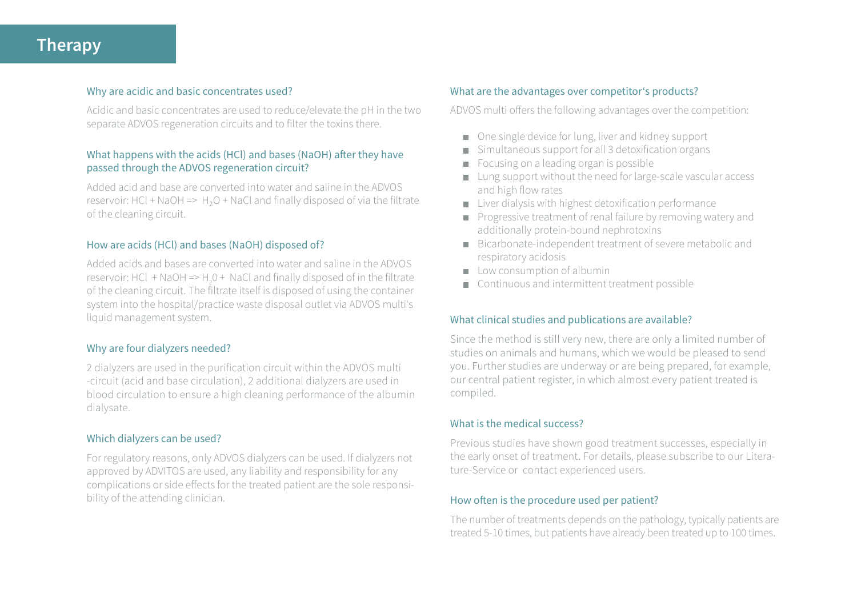# **Therapy**

#### Why are acidic and basic concentrates used?

Acidic and basic concentrates are used to reduce/elevate the pH in the two separate ADVOS regeneration circuits and to filter the toxins there.

## What happens with the acids (HCl) and bases (NaOH) after they have passed through the ADVOS regeneration circuit?

Added acid and base are converted into water and saline in the ADVOS reservoir: HCl + NaOH =>  $H_2O$  + NaCl and finally disposed of via the filtrate of the cleaning circuit.

#### How are acids (HCl) and bases (NaOH) disposed of?

Added acids and bases are converted into water and saline in the ADVOS reservoir: HCl + NaOH =>  $H_2O +$  NaCl and finally disposed of in the filtrate of the cleaning circuit. The filtrate itself is disposed of using the container system into the hospital/practice waste disposal outlet via ADVOS multi's liquid management system.

## Why are four dialyzers needed?

2 dialyzers are used in the purification circuit within the ADVOS multi -circuit (acid and base circulation), 2 additional dialyzers are used in blood circulation to ensure a high cleaning performance of the albumin dialysate.

#### Which dialyzers can be used?

For regulatory reasons, only ADVOS dialyzers can be used. If dialyzers not approved by ADVITOS are used, any liability and responsibility for any complications or side effects for the treated patient are the sole responsibility of the attending clinician.

## What are the advantages over competitor's products?

ADVOS multi offers the following advantages over the competition:

- One single device for lung, liver and kidney support
- $\blacksquare$  Simultaneous support for all 3 detoxification organs
- Focusing on a leading organ is possible **COL**
- Lung support without the need for large-scale vascular access and high flow rates
- $\blacksquare$  Liver dialysis with highest detoxification performance
- Progressive treatment of renal failure by removing watery and additionally protein-bound nephrotoxins
- Bicarbonate-independent treatment of severe metabolic and respiratory acidosis
- $\Box$  Low consumption of albumin
- Continuous and intermittent treatment possible

#### What clinical studies and publications are available?

Since the method is still very new, there are only a limited number of studies on animals and humans, which we would be pleased to send you. Further studies are underway or are being prepared, for example, our central patient register, in which almost every patient treated is compiled.

#### What is the medical success?

Previous studies have shown good treatment successes, especially in the early onset of treatment. For details, please subscribe to our Literature-Service or contact experienced users.

#### How often is the procedure used per patient?

The number of treatments depends on the pathology, typically patients are treated 5-10 times, but patients have already been treated up to 100 times.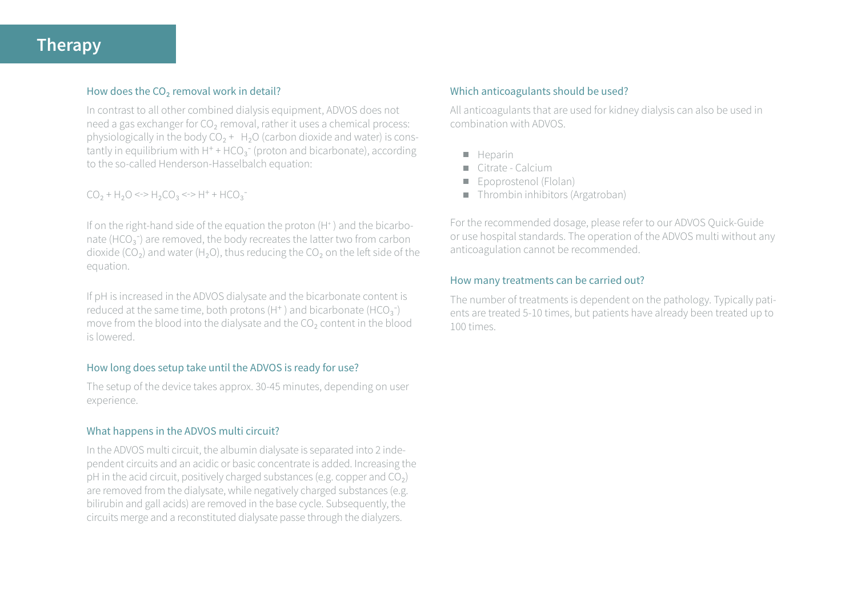# **Therapy**

## How does the CO<sub>2</sub> removal work in detail?

In contrast to all other combined dialysis equipment, ADVOS does not need a gas exchanger for CO<sub>2</sub> removal, rather it uses a chemical process: physiologically in the body  $CO<sub>2</sub> + H<sub>2</sub>O$  (carbon dioxide and water) is constantly in equilibrium with  $H^+$  + HCO<sub>2</sub><sup>-</sup> (proton and bicarbonate), according to the so-called Henderson-Hasselbalch equation:

# $CO_2$  + H<sub>2</sub>O <-> H<sub>2</sub>CO<sub>3</sub> <-> H<sup>+</sup> + HCO<sub>3</sub><sup>-</sup>

If on the right-hand side of the equation the proton (H<sup>+</sup>) and the bicarbonate (HCO $_3^-$ ) are removed, the body recreates the latter two from carbon dioxide ( $CO<sub>2</sub>$ ) and water (H<sub>2</sub>O), thus reducing the  $CO<sub>2</sub>$  on the left side of the equation.

If pH is increased in the ADVOS dialysate and the bicarbonate content is reduced at the same time, both protons  $(H^+)$  and bicarbonate  $(HCO_2^-)$ move from the blood into the dialysate and the CO<sub>2</sub> content in the blood is lowered.

## How long does setup take until the ADVOS is ready for use?

The setup of the device takes approx. 30-45 minutes, depending on user experience.

## What happens in the ADVOS multi circuit?

In the ADVOS multi circuit, the albumin dialysate is separated into 2 independent circuits and an acidic or basic concentrate is added. Increasing the pH in the acid circuit, positively charged substances (e.g. copper and  $CO<sub>2</sub>$ ) are removed from the dialysate, while negatively charged substances (e.g. bilirubin and gall acids) are removed in the base cycle. Subsequently, the circuits merge and a reconstituted dialysate passe through the dialyzers.

#### Which anticoagulants should be used?

All anticoagulants that are used for kidney dialysis can also be used in combination with ADVOS.

- $H$  Heparin
- Citrate Calcium **COL**
- Epoprostenol (Flolan) ٠
- Thrombin inhibitors (Argatroban)  $\blacksquare$

For the recommended dosage, please refer to our ADVOS Quick-Guide or use hospital standards. The operation of the ADVOS multi without any anticoagulation cannot be recommended.

#### How many treatments can be carried out?

The number of treatments is dependent on the pathology. Typically patients are treated 5-10 times, but patients have already been treated up to 100 times.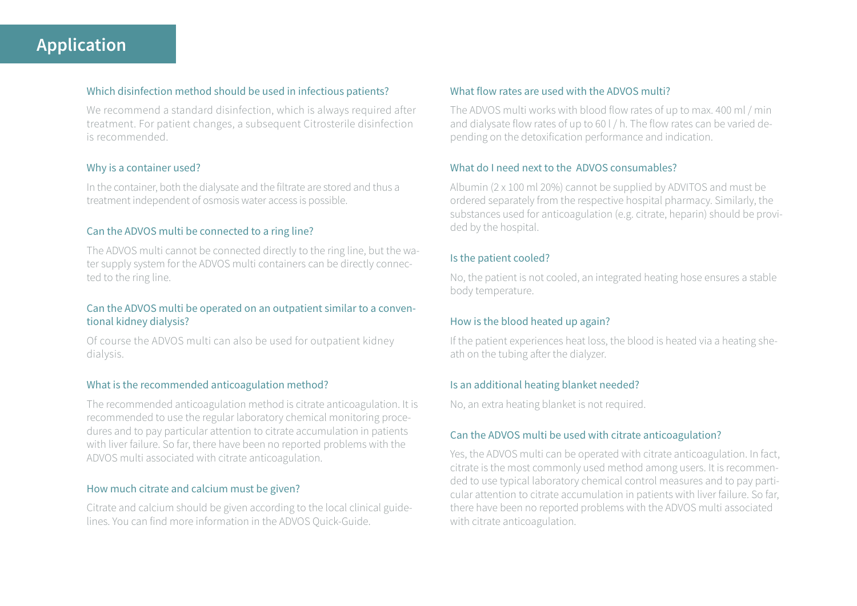## Which disinfection method should be used in infectious patients?

We recommend a standard disinfection, which is always required after treatment. For patient changes, a subsequent Citrosterile disinfection is recommended.

## Why is a container used?

In the container, both the dialysate and the filtrate are stored and thus a treatment independent of osmosis water access is possible.

## Can the ADVOS multi be connected to a ring line?

The ADVOS multi cannot be connected directly to the ring line, but the water supply system for the ADVOS multi containers can be directly connected to the ring line.

## Can the ADVOS multi be operated on an outpatient similar to a conventional kidney dialysis?

Of course the ADVOS multi can also be used for outpatient kidney dialysis.

## What is the recommended anticoagulation method?

The recommended anticoagulation method is citrate anticoagulation. It is recommended to use the regular laboratory chemical monitoring procedures and to pay particular attention to citrate accumulation in patients with liver failure. So far, there have been no reported problems with the ADVOS multi associated with citrate anticoagulation.

## How much citrate and calcium must be given?

Citrate and calcium should be given according to the local clinical guidelines. You can find more information in the ADVOS Quick-Guide.

## What flow rates are used with the ADVOS multi?

The ADVOS multi works with blood flow rates of up to max. 400 ml / min and dialysate flow rates of up to 60 l / h. The flow rates can be varied depending on the detoxification performance and indication.

## What do I need next to the ADVOS consumables?

Albumin (2 x 100 ml 20%) cannot be supplied by ADVITOS and must be ordered separately from the respective hospital pharmacy. Similarly, the substances used for anticoagulation (e.g. citrate, heparin) should be provided by the hospital.

## Is the patient cooled?

No, the patient is not cooled, an integrated heating hose ensures a stable body temperature.

## How is the blood heated up again?

If the patient experiences heat loss, the blood is heated via a heating sheath on the tubing after the dialyzer.

## Is an additional heating blanket needed?

No, an extra heating blanket is not required.

## Can the ADVOS multi be used with citrate anticoagulation?

Yes, the ADVOS multi can be operated with citrate anticoagulation. In fact, citrate is the most commonly used method among users. It is recommended to use typical laboratory chemical control measures and to pay particular attention to citrate accumulation in patients with liver failure. So far, there have been no reported problems with the ADVOS multi associated with citrate anticoagulation.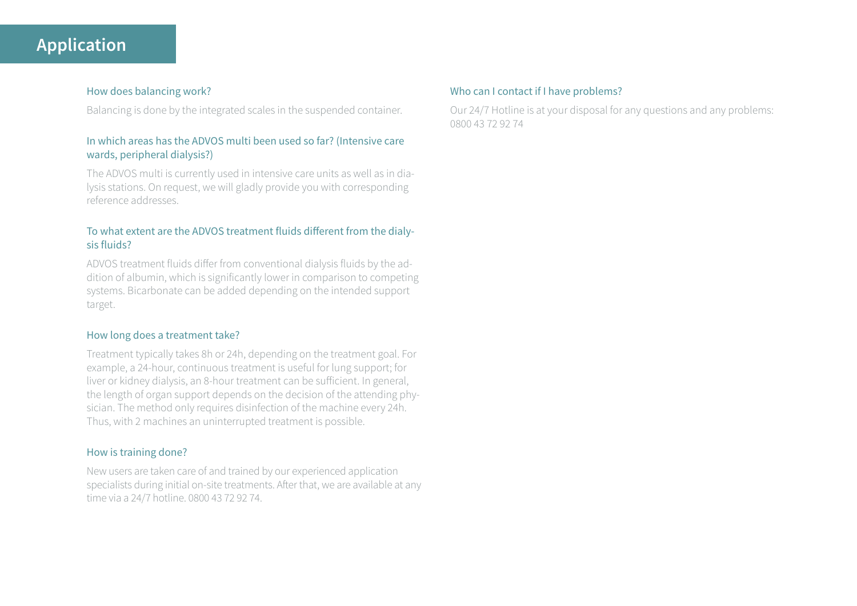# **Application**

## How does balancing work?

Balancing is done by the integrated scales in the suspended container.

# In which areas has the ADVOS multi been used so far? (Intensive care wards, peripheral dialysis?)

The ADVOS multi is currently used in intensive care units as well as in dialysis stations. On request, we will gladly provide you with corresponding reference addresses.

## To what extent are the ADVOS treatment fluids different from the dialysis fluids?

ADVOS treatment fluids differ from conventional dialysis fluids by the addition of albumin, which is significantly lower in comparison to competing systems. Bicarbonate can be added depending on the intended support target.

## How long does a treatment take?

Treatment typically takes 8h or 24h, depending on the treatment goal. For example, a 24-hour, continuous treatment is useful for lung support; for liver or kidney dialysis, an 8-hour treatment can be sufficient. In general, the length of organ support depends on the decision of the attending physician. The method only requires disinfection of the machine every 24h. Thus, with 2 machines an uninterrupted treatment is possible.

## How is training done?

New users are taken care of and trained by our experienced application specialists during initial on-site treatments. After that, we are available at any time via a 24/7 hotline. 0800 43 72 92 74.

## Who can I contact if I have problems?

Our 24/7 Hotline is at your disposal for any questions and any problems: 0800 43 72 92 74